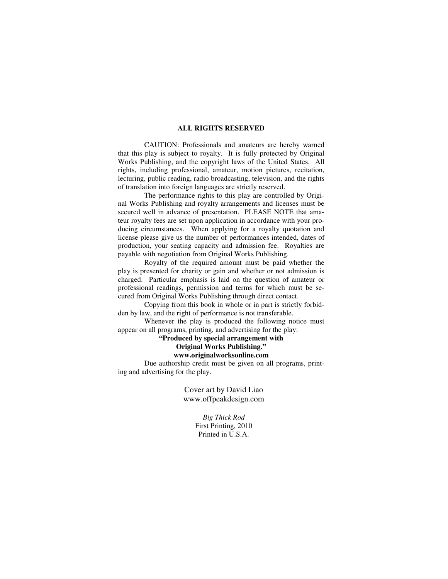## **ALL RIGHTS RESERVED**

 CAUTION: Professionals and amateurs are hereby warned that this play is subject to royalty. It is fully protected by Original Works Publishing, and the copyright laws of the United States. All rights, including professional, amateur, motion pictures, recitation, lecturing, public reading, radio broadcasting, television, and the rights of translation into foreign languages are strictly reserved.

 The performance rights to this play are controlled by Original Works Publishing and royalty arrangements and licenses must be secured well in advance of presentation. PLEASE NOTE that amateur royalty fees are set upon application in accordance with your producing circumstances. When applying for a royalty quotation and license please give us the number of performances intended, dates of production, your seating capacity and admission fee. Royalties are payable with negotiation from Original Works Publishing.

 Royalty of the required amount must be paid whether the play is presented for charity or gain and whether or not admission is charged. Particular emphasis is laid on the question of amateur or professional readings, permission and terms for which must be secured from Original Works Publishing through direct contact.

 Copying from this book in whole or in part is strictly forbidden by law, and the right of performance is not transferable.

 Whenever the play is produced the following notice must appear on all programs, printing, and advertising for the play:

# **"Produced by special arrangement with**

# **Original Works Publishing."**

**www.originalworksonline.com** 

 Due authorship credit must be given on all programs, printing and advertising for the play.

> Cover art by David Liao www.offpeakdesign.com

> > *Big Thick Rod*  First Printing, 2010 Printed in U.S.A.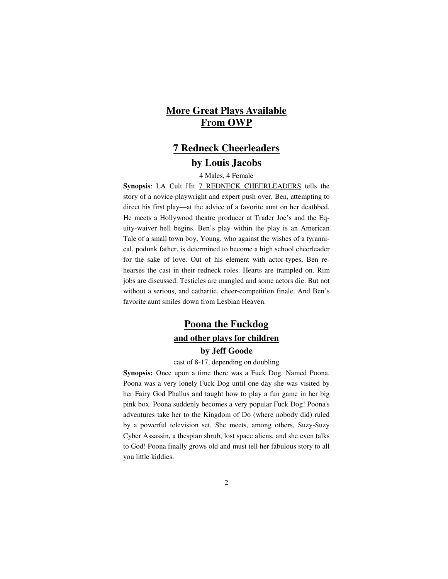# **More Great Plays Available From OWP**

# **7 Redneck Cheerleaders by Louis Jacobs**

4 Males, 4 Female

**Synopsis**: LA Cult Hit 7 REDNECK CHEERLEADERS tells the story of a novice playwright and expert push over, Ben, attempting to direct his first play—at the advice of a favorite aunt on her deathbed. He meets a Hollywood theatre producer at Trader Joe's and the Equity-waiver hell begins. Ben's play within the play is an American Tale of a small town boy, Young, who against the wishes of a tyrannical, podunk father, is determined to become a high school cheerleader for the sake of love. Out of his element with actor-types, Ben rehearses the cast in their redneck roles. Hearts are trampled on. Rim jobs are discussed. Testicles are mangled and some actors die. But not without a serious, and cathartic, cheer-competition finale. And Ben's favorite aunt smiles down from Lesbian Heaven.

# **Poona the Fuckdog and other plays for children by Jeff Goode**

cast of 8-17, depending on doubling

**Synopsis:** Once upon a time there was a Fuck Dog. Named Poona. Poona was a very lonely Fuck Dog until one day she was visited by her Fairy God Phallus and taught how to play a fun game in her big pink box. Poona suddenly becomes a very popular Fuck Dog! Poona's adventures take her to the Kingdom of Do (where nobody did) ruled by a powerful television set. She meets, among others, Suzy-Suzy Cyber Assassin, a thespian shrub, lost space aliens, and she even talks to God! Poona finally grows old and must tell her fabulous story to all you little kiddies.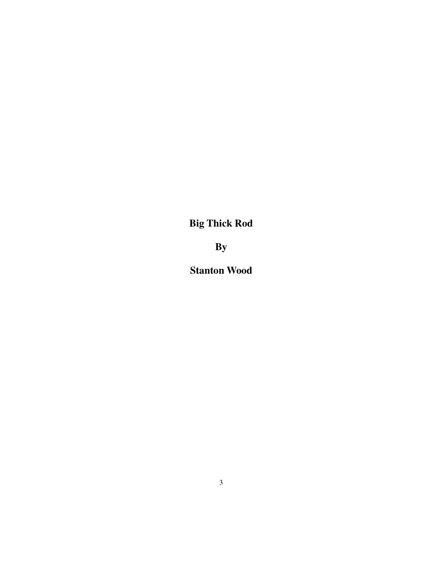**Big Thick Rod** 

**By** 

**Stanton Wood**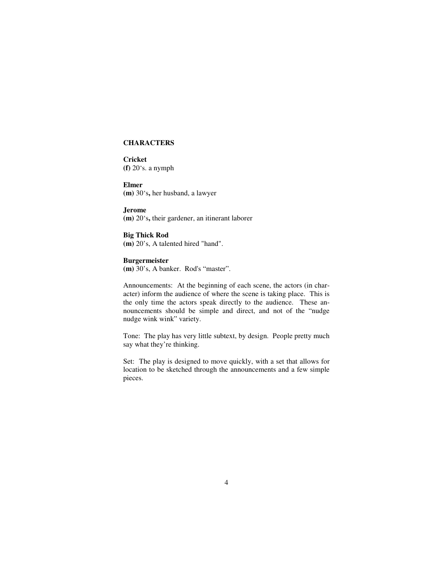#### **CHARACTERS**

**Cricket (f)** 20's. a nymph

**Elmer (m)** 30's**,** her husband, a lawyer

**Jerome (m)** 20's**,** their gardener, an itinerant laborer

**Big Thick Rod (m)** 20's, A talented hired "hand".

## **Burgermeister**

**(m)** 30's, A banker. Rod's "master".

Announcements: At the beginning of each scene, the actors (in character) inform the audience of where the scene is taking place. This is the only time the actors speak directly to the audience. These announcements should be simple and direct, and not of the "nudge nudge wink wink" variety.

Tone: The play has very little subtext, by design. People pretty much say what they're thinking.

Set: The play is designed to move quickly, with a set that allows for location to be sketched through the announcements and a few simple pieces.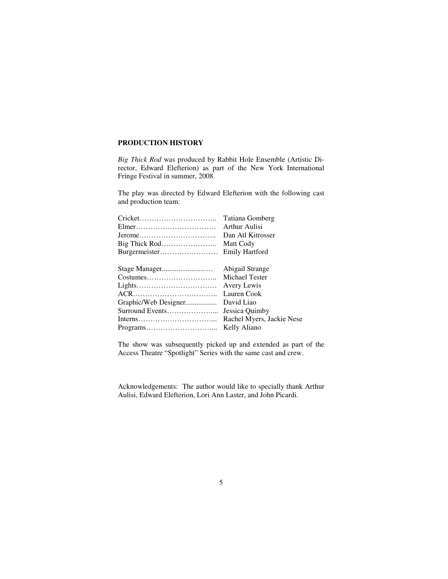## **PRODUCTION HISTORY**

*Big Thick Rod* was produced by Rabbit Hole Ensemble (Artistic Director, Edward Elefterion) as part of the New York International Fringe Festival in summer, 2008.

The play was directed by Edward Elefterion with the following cast and production team:

|                      | Tatiana Gomberg           |
|----------------------|---------------------------|
|                      | Arthur Aulisi             |
|                      | Dan Atl Kitrosser         |
| Big Thick Rod        | Matt Cody                 |
| Burgermeister        | <b>Emily Hartford</b>     |
|                      | Abigail Strange           |
| Costumes             | Michael Tester            |
|                      | Avery Lewis               |
|                      | Lauren Cook               |
| Graphic/Web Designer | David Liao                |
|                      | Jessica Quimby            |
|                      | Rachel Myers, Jackie Nese |
|                      | Kelly Aliano              |

The show was subsequently picked up and extended as part of the Access Theatre "Spotlight" Series with the same cast and crew.

Acknowledgements: The author would like to specially thank Arthur Aulisi, Edward Elefterion, Lori Ann Laster, and John Picardi.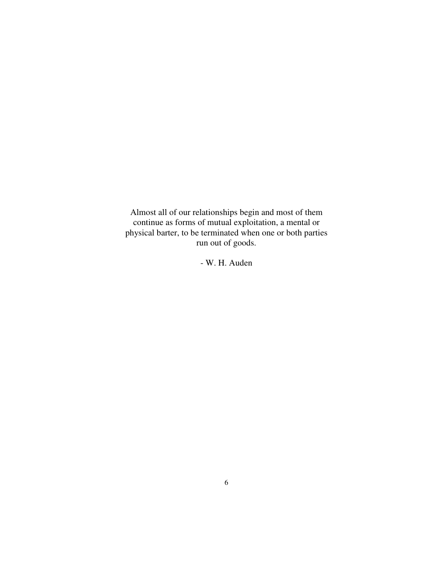Almost all of our relationships begin and most of them continue as forms of mutual exploitation, a mental or physical barter, to be terminated when one or both parties run out of goods.

- W. H. Auden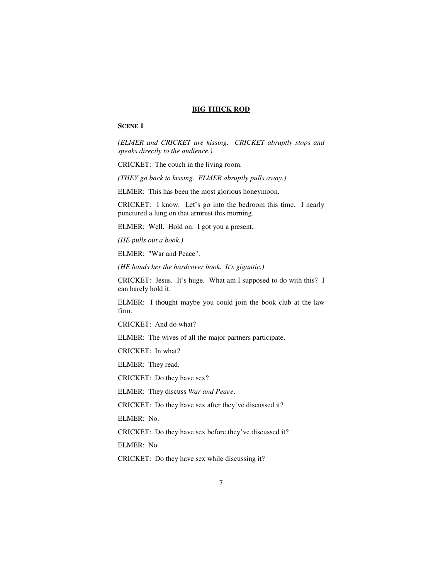#### **BIG THICK ROD**

### **SCENE 1**

*(ELMER and CRICKET are kissing. CRICKET abruptly stops and speaks directly to the audience.)* 

CRICKET: The couch in the living room.

*(THEY go back to kissing. ELMER abruptly pulls away.)* 

ELMER: This has been the most glorious honeymoon.

CRICKET: I know. Let's go into the bedroom this time. I nearly punctured a lung on that armrest this morning.

ELMER: Well. Hold on. I got you a present.

*(HE pulls out a book.)* 

ELMER: "War and Peace".

*(HE hands her the hardcover book. It's gigantic.)* 

CRICKET: Jesus. It's huge. What am I supposed to do with this? I can barely hold it.

ELMER: I thought maybe you could join the book club at the law firm.

CRICKET: And do what?

ELMER: The wives of all the major partners participate.

CRICKET: In what?

ELMER: They read.

CRICKET: Do they have sex?

ELMER: They discuss *War and Peace*.

CRICKET: Do they have sex after they've discussed it?

ELMER: No.

CRICKET: Do they have sex before they've discussed it?

ELMER: No.

CRICKET: Do they have sex while discussing it?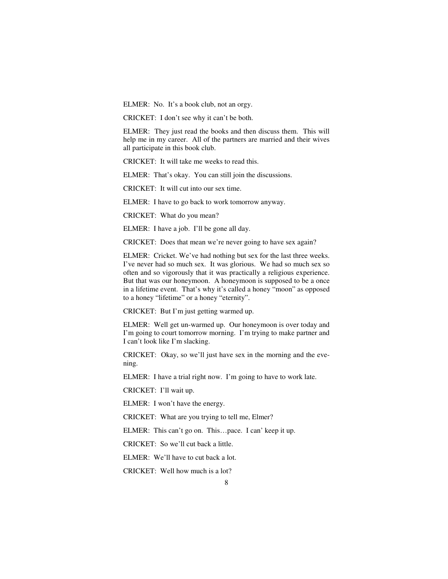ELMER: No. It's a book club, not an orgy.

CRICKET: I don't see why it can't be both.

ELMER: They just read the books and then discuss them. This will help me in my career. All of the partners are married and their wives all participate in this book club.

CRICKET: It will take me weeks to read this.

ELMER: That's okay. You can still join the discussions.

CRICKET: It will cut into our sex time.

ELMER: I have to go back to work tomorrow anyway.

CRICKET: What do you mean?

ELMER: I have a job. I'll be gone all day.

CRICKET: Does that mean we're never going to have sex again?

ELMER: Cricket. We've had nothing but sex for the last three weeks. I've never had so much sex. It was glorious. We had so much sex so often and so vigorously that it was practically a religious experience. But that was our honeymoon. A honeymoon is supposed to be a once in a lifetime event. That's why it's called a honey "moon" as opposed to a honey "lifetime" or a honey "eternity".

CRICKET: But I'm just getting warmed up.

ELMER: Well get un-warmed up. Our honeymoon is over today and I'm going to court tomorrow morning. I'm trying to make partner and I can't look like I'm slacking.

CRICKET: Okay, so we'll just have sex in the morning and the evening.

ELMER: I have a trial right now. I'm going to have to work late.

CRICKET: I'll wait up.

ELMER: I won't have the energy.

CRICKET: What are you trying to tell me, Elmer?

ELMER: This can't go on. This…pace. I can' keep it up.

CRICKET: So we'll cut back a little.

ELMER: We'll have to cut back a lot.

CRICKET: Well how much is a lot?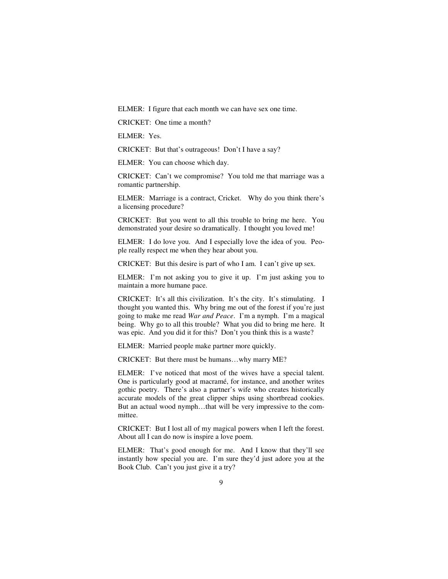ELMER: I figure that each month we can have sex one time.

CRICKET: One time a month?

ELMER: Yes.

CRICKET: But that's outrageous! Don't I have a say?

ELMER: You can choose which day.

CRICKET: Can't we compromise? You told me that marriage was a romantic partnership.

ELMER: Marriage is a contract, Cricket. Why do you think there's a licensing procedure?

CRICKET: But you went to all this trouble to bring me here. You demonstrated your desire so dramatically. I thought you loved me!

ELMER: I do love you. And I especially love the idea of you. People really respect me when they hear about you.

CRICKET: But this desire is part of who I am. I can't give up sex.

ELMER: I'm not asking you to give it up. I'm just asking you to maintain a more humane pace.

CRICKET: It's all this civilization. It's the city. It's stimulating. I thought you wanted this. Why bring me out of the forest if you're just going to make me read *War and Peace*. I'm a nymph. I'm a magical being. Why go to all this trouble? What you did to bring me here. It was epic. And you did it for this? Don't you think this is a waste?

ELMER: Married people make partner more quickly.

CRICKET: But there must be humans…why marry ME?

ELMER: I've noticed that most of the wives have a special talent. One is particularly good at macramé, for instance, and another writes gothic poetry. There's also a partner's wife who creates historically accurate models of the great clipper ships using shortbread cookies. But an actual wood nymph…that will be very impressive to the committee.

CRICKET: But I lost all of my magical powers when I left the forest. About all I can do now is inspire a love poem.

ELMER: That's good enough for me. And I know that they'll see instantly how special you are. I'm sure they'd just adore you at the Book Club. Can't you just give it a try?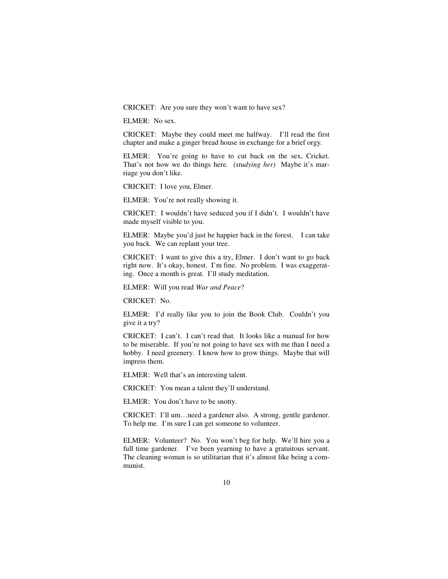CRICKET: Are you sure they won't want to have sex?

ELMER: No sex.

CRICKET: Maybe they could meet me halfway. I'll read the first chapter and make a ginger bread house in exchange for a brief orgy.

ELMER: You're going to have to cut back on the sex, Cricket. That's not how we do things here. *(studying her)* Maybe it's marriage you don't like.

CRICKET: I love you, Elmer.

ELMER: You're not really showing it.

CRICKET: I wouldn't have seduced you if I didn't. I wouldn't have made myself visible to you.

ELMER: Maybe you'd just be happier back in the forest. I can take you back. We can replant your tree.

CRICKET: I want to give this a try, Elmer. I don't want to go back right now. It's okay, honest. I'm fine. No problem. I was exaggerating. Once a month is great. I'll study meditation.

ELMER: Will you read *War and Peace*?

CRICKET: No.

ELMER: I'd really like you to join the Book Club. Couldn't you give it a try?

CRICKET: I can't. I can't read that. It looks like a manual for how to be miserable. If you're not going to have sex with me than I need a hobby. I need greenery. I know how to grow things. Maybe that will impress them.

ELMER: Well that's an interesting talent.

CRICKET: You mean a talent they'll understand.

ELMER: You don't have to be snotty.

CRICKET: I'll um…need a gardener also. A strong, gentle gardener. To help me. I'm sure I can get someone to volunteer.

ELMER: Volunteer? No. You won't beg for help. We'll hire you a full time gardener. I've been yearning to have a gratuitous servant. The cleaning woman is so utilitarian that it's almost like being a communist.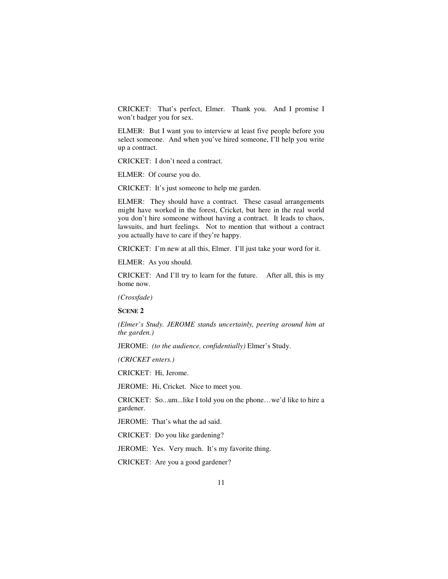CRICKET: That's perfect, Elmer. Thank you. And I promise I won't badger you for sex.

ELMER: But I want you to interview at least five people before you select someone. And when you've hired someone, I'll help you write up a contract.

CRICKET: I don't need a contract.

ELMER: Of course you do.

CRICKET: It's just someone to help me garden.

ELMER: They should have a contract. These casual arrangements might have worked in the forest, Cricket, but here in the real world you don't hire someone without having a contract. It leads to chaos, lawsuits, and hurt feelings. Not to mention that without a contract you actually have to care if they're happy.

CRICKET: I'm new at all this, Elmer. I'll just take your word for it.

ELMER: As you should.

CRICKET: And I'll try to learn for the future. After all, this is my home now.

*(Crossfade)* 

**SCENE 2** 

*(Elmer's Study. JEROME stands uncertainly, peering around him at the garden.)* 

JEROME: *(to the audience, confidentially)* Elmer's Study.

*(CRICKET enters.)* 

CRICKET: Hi, Jerome.

JEROME: Hi, Cricket. Nice to meet you.

CRICKET: So...um...like I told you on the phone…we'd like to hire a gardener.

JEROME: That's what the ad said.

CRICKET: Do you like gardening?

JEROME: Yes. Very much. It's my favorite thing.

CRICKET: Are you a good gardener?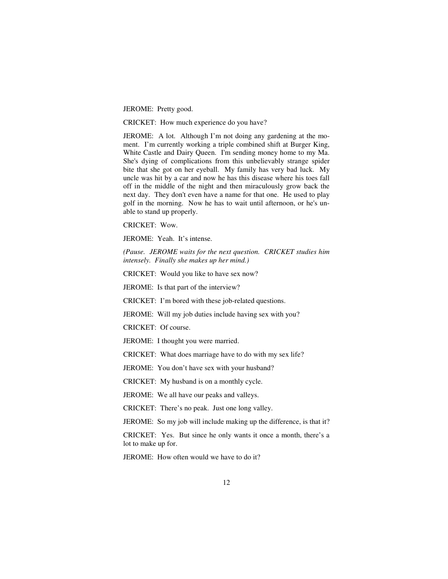JEROME: Pretty good.

CRICKET: How much experience do you have?

JEROME: A lot. Although I'm not doing any gardening at the moment. I'm currently working a triple combined shift at Burger King, White Castle and Dairy Queen. I'm sending money home to my Ma. She's dying of complications from this unbelievably strange spider bite that she got on her eyeball. My family has very bad luck. My uncle was hit by a car and now he has this disease where his toes fall off in the middle of the night and then miraculously grow back the next day. They don't even have a name for that one. He used to play golf in the morning. Now he has to wait until afternoon, or he's unable to stand up properly.

CRICKET: Wow.

JEROME: Yeah. It's intense.

*(Pause. JEROME waits for the next question. CRICKET studies him intensely. Finally she makes up her mind.)* 

CRICKET: Would you like to have sex now?

JEROME: Is that part of the interview?

CRICKET: I'm bored with these job-related questions.

JEROME: Will my job duties include having sex with you?

CRICKET: Of course.

JEROME: I thought you were married.

CRICKET: What does marriage have to do with my sex life?

JEROME: You don't have sex with your husband?

CRICKET: My husband is on a monthly cycle.

JEROME: We all have our peaks and valleys.

CRICKET: There's no peak. Just one long valley.

JEROME: So my job will include making up the difference, is that it?

CRICKET: Yes. But since he only wants it once a month, there's a lot to make up for.

JEROME: How often would we have to do it?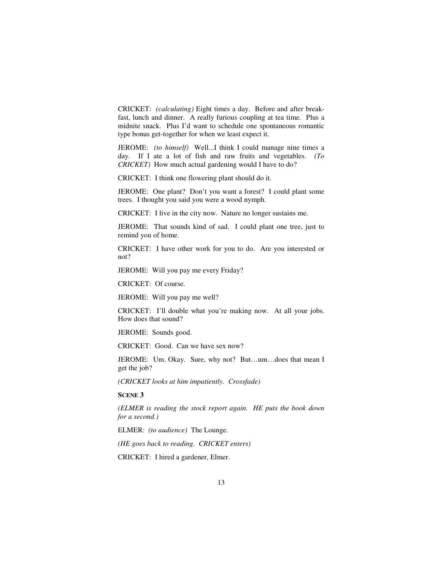CRICKET: *(calculating)* Eight times a day. Before and after breakfast, lunch and dinner. A really furious coupling at tea time. Plus a midnite snack. Plus I'd want to schedule one spontaneous romantic type bonus get-together for when we least expect it.

JEROME: *(to himself)* Well...I think I could manage nine times a day. If I ate a lot of fish and raw fruits and vegetables. *(To CRICKET)* How much actual gardening would I have to do?

CRICKET: I think one flowering plant should do it.

JEROME: One plant? Don't you want a forest? I could plant some trees. I thought you said you were a wood nymph.

CRICKET: I live in the city now. Nature no longer sustains me.

JEROME: That sounds kind of sad. I could plant one tree, just to remind you of home.

CRICKET: I have other work for you to do. Are you interested or not?

JEROME: Will you pay me every Friday?

CRICKET: Of course.

JEROME: Will you pay me well?

CRICKET: I'll double what you're making now. At all your jobs. How does that sound?

JEROME: Sounds good.

CRICKET: Good. Can we have sex now?

JEROME: Um. Okay. Sure, why not? But…um…does that mean I get the job?

*(CRICKET looks at him impatiently. Crossfade)* 

**SCENE 3** 

*(ELMER is reading the stock report again. HE puts the book down for a second.)* 

ELMER: *(to audience)* The Lounge.

*(HE goes back to reading. CRICKET enters)* 

CRICKET: I hired a gardener, Elmer.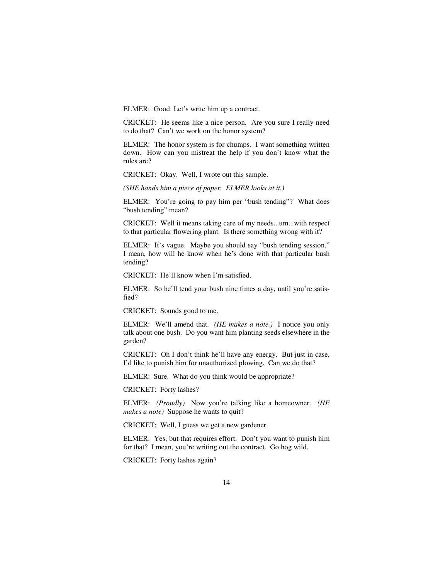ELMER: Good. Let's write him up a contract.

CRICKET: He seems like a nice person. Are you sure I really need to do that? Can't we work on the honor system?

ELMER: The honor system is for chumps. I want something written down. How can you mistreat the help if you don't know what the rules are?

CRICKET: Okay. Well, I wrote out this sample.

*(SHE hands him a piece of paper. ELMER looks at it.)* 

ELMER: You're going to pay him per "bush tending"? What does "bush tending" mean?

CRICKET: Well it means taking care of my needs...um...with respect to that particular flowering plant. Is there something wrong with it?

ELMER: It's vague. Maybe you should say "bush tending session." I mean, how will he know when he's done with that particular bush tending?

CRICKET: He'll know when I'm satisfied.

ELMER: So he'll tend your bush nine times a day, until you're satisfied?

CRICKET: Sounds good to me.

ELMER: We'll amend that. *(HE makes a note.)* I notice you only talk about one bush. Do you want him planting seeds elsewhere in the garden?

CRICKET: Oh I don't think he'll have any energy. But just in case, I'd like to punish him for unauthorized plowing. Can we do that?

ELMER: Sure. What do you think would be appropriate?

CRICKET: Forty lashes?

ELMER: *(Proudly)* Now you're talking like a homeowner. *(HE makes a note)* Suppose he wants to quit?

CRICKET: Well, I guess we get a new gardener.

ELMER: Yes, but that requires effort. Don't you want to punish him for that? I mean, you're writing out the contract. Go hog wild.

CRICKET: Forty lashes again?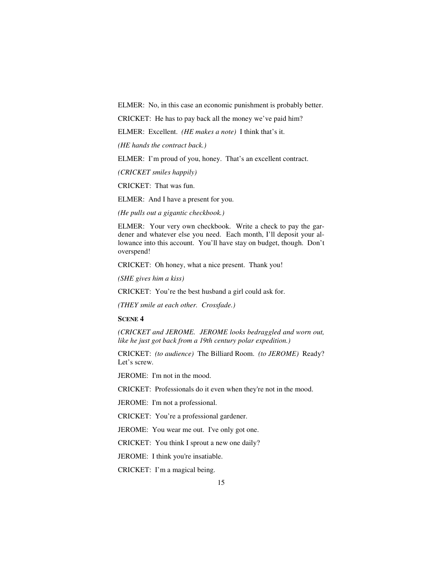ELMER: No, in this case an economic punishment is probably better.

CRICKET: He has to pay back all the money we've paid him?

ELMER: Excellent. *(HE makes a note)* I think that's it.

*(HE hands the contract back.)* 

ELMER: I'm proud of you, honey. That's an excellent contract.

*(CRICKET smiles happily)* 

CRICKET: That was fun.

ELMER: And I have a present for you.

*(He pulls out a gigantic checkbook.)* 

ELMER: Your very own checkbook. Write a check to pay the gardener and whatever else you need. Each month, I'll deposit your allowance into this account. You'll have stay on budget, though. Don't overspend!

CRICKET: Oh honey, what a nice present. Thank you!

*(SHE gives him a kiss)* 

CRICKET: You're the best husband a girl could ask for.

*(THEY smile at each other. Crossfade.)* 

**SCENE 4** 

*(CRICKET and JEROME. JEROME looks bedraggled and worn out, like he just got back from a 19th century polar expedition.)* 

CRICKET: *(to audience)* The Billiard Room. *(to JEROME)* Ready? Let's screw.

JEROME: I'm not in the mood.

CRICKET: Professionals do it even when they're not in the mood.

JEROME: I'm not a professional.

CRICKET: You're a professional gardener.

JEROME: You wear me out. I've only got one.

CRICKET: You think I sprout a new one daily?

JEROME: I think you're insatiable.

CRICKET: I'm a magical being.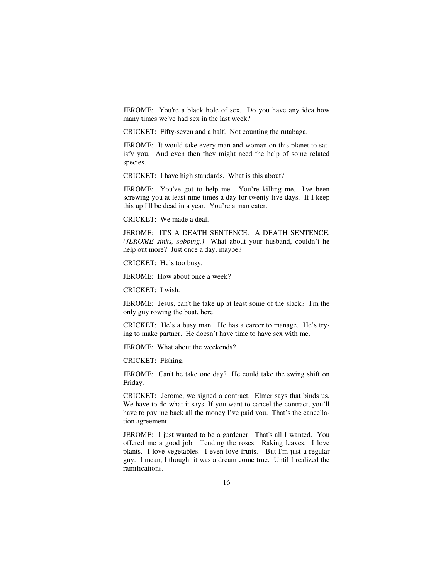JEROME: You're a black hole of sex. Do you have any idea how many times we've had sex in the last week?

CRICKET: Fifty-seven and a half. Not counting the rutabaga.

JEROME: It would take every man and woman on this planet to satisfy you. And even then they might need the help of some related species.

CRICKET: I have high standards. What is this about?

JEROME: You've got to help me. You're killing me. I've been screwing you at least nine times a day for twenty five days. If I keep this up I'll be dead in a year. You're a man eater.

CRICKET: We made a deal.

JEROME: IT'S A DEATH SENTENCE. A DEATH SENTENCE. *(JEROME sinks, sobbing.)* What about your husband, couldn't he help out more? Just once a day, maybe?

CRICKET: He's too busy.

JEROME: How about once a week?

CRICKET: I wish.

JEROME: Jesus, can't he take up at least some of the slack? I'm the only guy rowing the boat, here.

CRICKET: He's a busy man. He has a career to manage. He's trying to make partner. He doesn't have time to have sex with me.

JEROME: What about the weekends?

CRICKET: Fishing.

JEROME: Can't he take one day? He could take the swing shift on Friday.

CRICKET: Jerome, we signed a contract. Elmer says that binds us. We have to do what it says. If you want to cancel the contract, you'll have to pay me back all the money I've paid you. That's the cancellation agreement.

JEROME: I just wanted to be a gardener. That's all I wanted. You offered me a good job. Tending the roses. Raking leaves. I love plants. I love vegetables. I even love fruits. But I'm just a regular guy. I mean, I thought it was a dream come true. Until I realized the ramifications.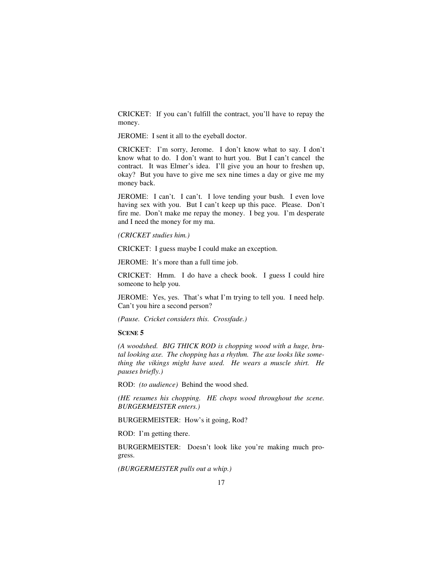CRICKET: If you can't fulfill the contract, you'll have to repay the money.

JEROME: I sent it all to the eyeball doctor.

CRICKET: I'm sorry, Jerome. I don't know what to say. I don't know what to do. I don't want to hurt you. But I can't cancel the contract. It was Elmer's idea. I'll give you an hour to freshen up, okay? But you have to give me sex nine times a day or give me my money back.

JEROME: I can't. I can't. I love tending your bush. I even love having sex with you. But I can't keep up this pace. Please. Don't fire me. Don't make me repay the money. I beg you. I'm desperate and I need the money for my ma.

*(CRICKET studies him.)* 

CRICKET: I guess maybe I could make an exception.

JEROME: It's more than a full time job.

CRICKET: Hmm. I do have a check book. I guess I could hire someone to help you.

JEROME: Yes, yes. That's what I'm trying to tell you. I need help. Can't you hire a second person?

*(Pause. Cricket considers this. Crossfade.)* 

#### **SCENE 5**

*(A woodshed. BIG THICK ROD is chopping wood with a huge, brutal looking axe. The chopping has a rhythm. The axe looks like something the vikings might have used. He wears a muscle shirt. He pauses briefly.)* 

ROD: *(to audience)* Behind the wood shed.

*(HE resumes his chopping. HE chops wood throughout the scene. BURGERMEISTER enters.)* 

BURGERMEISTER: How's it going, Rod?

ROD: I'm getting there.

BURGERMEISTER: Doesn't look like you're making much progress.

*(BURGERMEISTER pulls out a whip.)*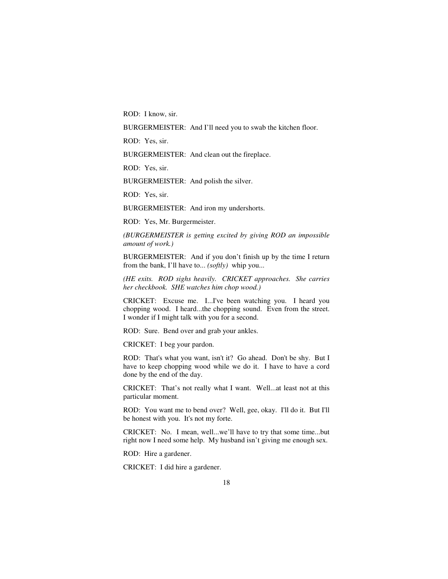ROD: I know, sir.

BURGERMEISTER: And I'll need you to swab the kitchen floor.

ROD: Yes, sir.

BURGERMEISTER: And clean out the fireplace.

ROD: Yes, sir.

BURGERMEISTER: And polish the silver.

ROD: Yes, sir.

BURGERMEISTER: And iron my undershorts.

ROD: Yes, Mr. Burgermeister.

*(BURGERMEISTER is getting excited by giving ROD an impossible amount of work.)* 

BURGERMEISTER: And if you don't finish up by the time I return from the bank, I'll have to... *(softly)* whip you...

*(HE exits. ROD sighs heavily. CRICKET approaches. She carries her checkbook. SHE watches him chop wood.)* 

CRICKET: Excuse me. I...I've been watching you. I heard you chopping wood. I heard...the chopping sound. Even from the street. I wonder if I might talk with you for a second.

ROD: Sure. Bend over and grab your ankles.

CRICKET: I beg your pardon.

ROD: That's what you want, isn't it? Go ahead. Don't be shy. But I have to keep chopping wood while we do it. I have to have a cord done by the end of the day.

CRICKET: That's not really what I want. Well...at least not at this particular moment.

ROD: You want me to bend over? Well, gee, okay. I'll do it. But I'll be honest with you. It's not my forte.

CRICKET: No. I mean, well...we'll have to try that some time...but right now I need some help. My husband isn't giving me enough sex.

ROD: Hire a gardener.

CRICKET: I did hire a gardener.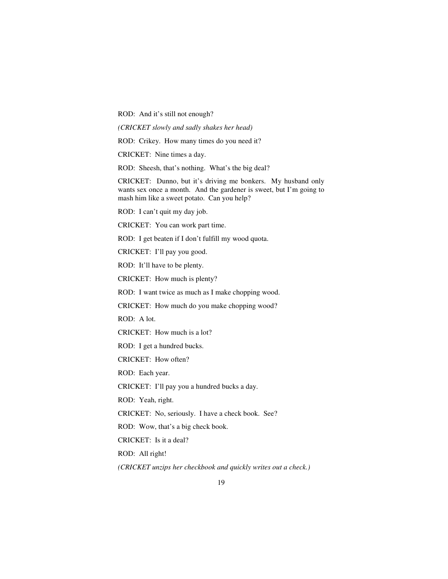ROD: And it's still not enough?

*(CRICKET slowly and sadly shakes her head)* 

ROD: Crikey. How many times do you need it?

CRICKET: Nine times a day.

ROD: Sheesh, that's nothing. What's the big deal?

CRICKET: Dunno, but it's driving me bonkers. My husband only wants sex once a month. And the gardener is sweet, but I'm going to mash him like a sweet potato. Can you help?

ROD: I can't quit my day job.

CRICKET: You can work part time.

ROD: I get beaten if I don't fulfill my wood quota.

CRICKET: I'll pay you good.

ROD: It'll have to be plenty.

CRICKET: How much is plenty?

ROD: I want twice as much as I make chopping wood.

CRICKET: How much do you make chopping wood?

ROD: A lot.

CRICKET: How much is a lot?

ROD: I get a hundred bucks.

CRICKET: How often?

ROD: Each year.

CRICKET: I'll pay you a hundred bucks a day.

ROD: Yeah, right.

CRICKET: No, seriously. I have a check book. See?

ROD: Wow, that's a big check book.

CRICKET: Is it a deal?

ROD: All right!

*(CRICKET unzips her checkbook and quickly writes out a check.)*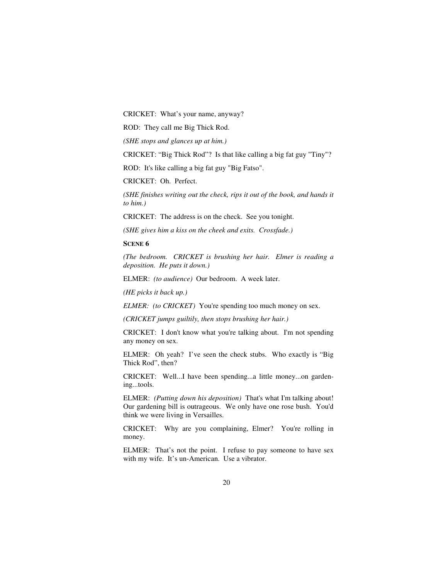CRICKET: What's your name, anyway?

ROD: They call me Big Thick Rod.

*(SHE stops and glances up at him.)* 

CRICKET: "Big Thick Rod"? Is that like calling a big fat guy "Tiny"?

ROD: It's like calling a big fat guy "Big Fatso".

CRICKET: Oh. Perfect.

*(SHE finishes writing out the check, rips it out of the book, and hands it to him.)* 

CRICKET: The address is on the check. See you tonight.

*(SHE gives him a kiss on the cheek and exits. Crossfade.)* 

**SCENE 6** 

*(The bedroom. CRICKET is brushing her hair. Elmer is reading a deposition. He puts it down.)* 

ELMER: *(to audience)* Our bedroom. A week later.

*(HE picks it back up.)* 

*ELMER: (to CRICKET)* You're spending too much money on sex.

*(CRICKET jumps guiltily, then stops brushing her hair.)* 

CRICKET: I don't know what you're talking about. I'm not spending any money on sex.

ELMER: Oh yeah? I've seen the check stubs. Who exactly is "Big Thick Rod", then?

CRICKET: Well...I have been spending...a little money...on gardening...tools.

ELMER: *(Putting down his deposition)* That's what I'm talking about! Our gardening bill is outrageous. We only have one rose bush. You'd think we were living in Versailles.

CRICKET: Why are you complaining, Elmer? You're rolling in money.

ELMER: That's not the point. I refuse to pay someone to have sex with my wife. It's un-American. Use a vibrator.